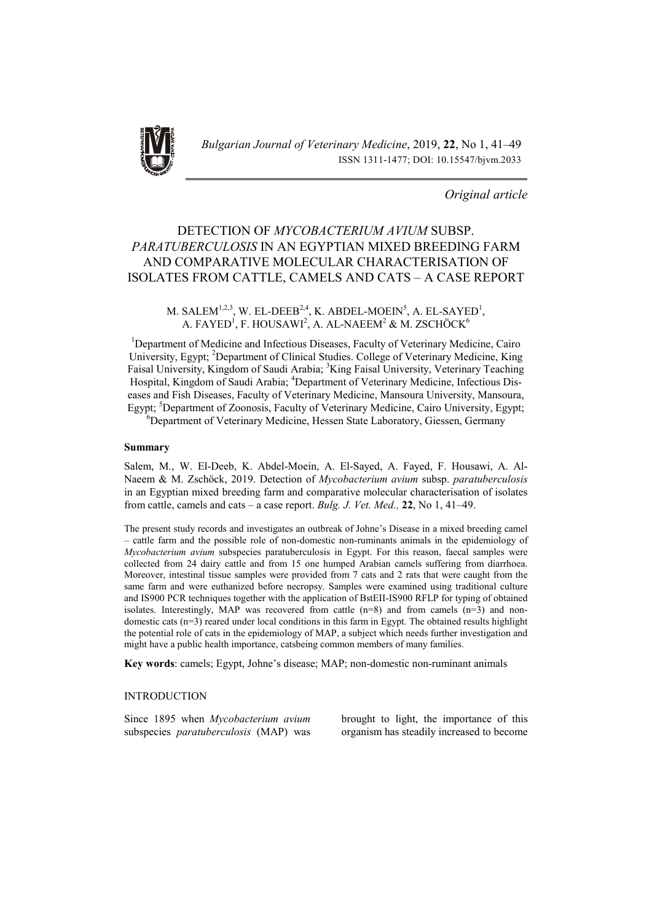

## *Original article*

# DETECTION OF *MYCOBACTERIUM AVIUM* SUBSP. *PARATUBERCULOSIS* IN AN EGYPTIAN MIXED BREEDING FARM AND COMPARATIVE MOLECULAR CHARACTERISATION OF ISOLATES FROM CATTLE, CAMELS AND CATS – A CASE REPORT

### M. SALEM<sup>1,2,3</sup>, W. EL-DEEB<sup>2,4</sup>, K. ABDEL-MOEIN<sup>5</sup>, A. EL-SAYED<sup>1</sup>, A. FAYED $^1$ , F. HOUSAWI $^2$ , A. AL-NAEEM $^2$  & M. ZSCHÖCK $^6$

<sup>1</sup>Department of Medicine and Infectious Diseases, Faculty of Veterinary Medicine, Cairo University, Egypt; <sup>2</sup>Department of Clinical Studies. College of Veterinary Medicine, King Faisal University, Kingdom of Saudi Arabia; <sup>3</sup>King Faisal University, Veterinary Teaching Hospital, Kingdom of Saudi Arabia; <sup>4</sup>Department of Veterinary Medicine, Infectious Diseases and Fish Diseases, Faculty of Veterinary Medicine, Mansoura University, Mansoura, Egypt; <sup>5</sup>Department of Zoonosis, Faculty of Veterinary Medicine, Cairo University, Egypt;

6 Department of Veterinary Medicine, Hessen State Laboratory, Giessen, Germany

### Summary

Salem, M., W. El-Deeb, K. Abdel-Moein, A. El-Sayed, A. Fayed, F. Housawi, A. Al-Naeem & M. Zschöck, 2019. Detection of *Mycobacterium avium* subsp. *paratuberculosis*  in an Egyptian mixed breeding farm and comparative molecular characterisation of isolates from cattle, camels and cats – a case report. *Bulg. J. Vet. Med.,* 22, No 1, 41–49.

The present study records and investigates an outbreak of Johne's Disease in a mixed breeding camel – cattle farm and the possible role of non-domestic non-ruminants animals in the epidemiology of *Mycobacterium avium* subspecies paratuberculosis in Egypt. For this reason, faecal samples were collected from 24 dairy cattle and from 15 one humped Arabian camels suffering from diarrhoea. Moreover, intestinal tissue samples were provided from 7 cats and 2 rats that were caught from the same farm and were euthanized before necropsy. Samples were examined using traditional culture and IS900 PCR techniques together with the application of BstEII-IS900 RFLP for typing of obtained isolates. Interestingly, MAP was recovered from cattle  $(n=8)$  and from camels  $(n=3)$  and nondomestic cats (n=3) reared under local conditions in this farm in Egypt. The obtained results highlight the potential role of cats in the epidemiology of MAP, a subject which needs further investigation and might have a public health importance, catsbeing common members of many families.

Key words: camels; Egypt, Johne's disease; MAP; non-domestic non-ruminant animals

### INTRODUCTION

Since 1895 when *Mycobacterium avium* subspecies *paratuberculosis* (MAP) was brought to light, the importance of this organism has steadily increased to become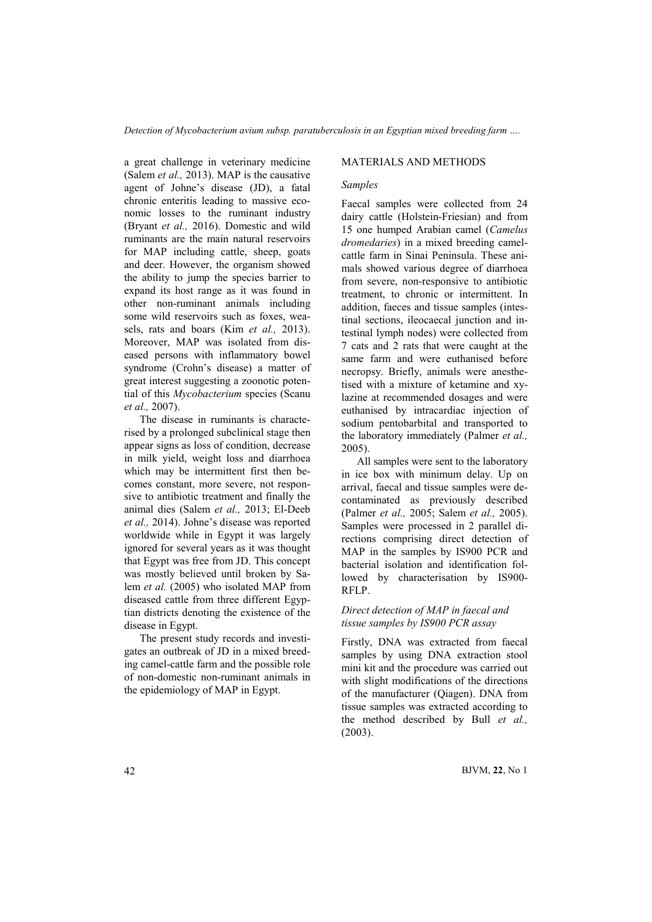*Detection of Mycobacterium avium subsp. paratuberculosis in an Egyptian mixed breeding farm ….*

a great challenge in veterinary medicine (Salem *et al.,* 2013). MAP is the causative agent of Johne's disease (JD), a fatal chronic enteritis leading to massive economic losses to the ruminant industry (Bryant *et al.,* 2016). Domestic and wild ruminants are the main natural reservoirs for MAP including cattle, sheep, goats and deer. However, the organism showed the ability to jump the species barrier to expand its host range as it was found in other non-ruminant animals including some wild reservoirs such as foxes, weasels, rats and boars (Kim *et al.,* 2013). Moreover, MAP was isolated from diseased persons with inflammatory bowel syndrome (Crohn's disease) a matter of great interest suggesting a zoonotic potential of this *Mycobacterium* species (Scanu *et al.,* 2007).

The disease in ruminants is characterised by a prolonged subclinical stage then appear signs as loss of condition, decrease in milk yield, weight loss and diarrhoea which may be intermittent first then becomes constant, more severe, not responsive to antibiotic treatment and finally the animal dies (Salem *et al.,* 2013; El-Deeb *et al.,* 2014). Johne's disease was reported worldwide while in Egypt it was largely ignored for several years as it was thought that Egypt was free from JD. This concept was mostly believed until broken by Salem *et al.* (2005) who isolated MAP from diseased cattle from three different Egyptian districts denoting the existence of the disease in Egypt.

The present study records and investigates an outbreak of JD in a mixed breeding camel-cattle farm and the possible role of non-domestic non-ruminant animals in the epidemiology of MAP in Egypt.

### MATERIALS AND METHODS

### *Samples*

Faecal samples were collected from 24 dairy cattle (Holstein-Friesian) and from 15 one humped Arabian camel (*Camelus dromedaries*) in a mixed breeding camelcattle farm in Sinai Peninsula. These animals showed various degree of diarrhoea from severe, non-responsive to antibiotic treatment, to chronic or intermittent. In addition, faeces and tissue samples (intestinal sections, ileocaecal junction and intestinal lymph nodes) were collected from 7 cats and 2 rats that were caught at the same farm and were euthanised before necropsy. Briefly, animals were anesthetised with a mixture of ketamine and xylazine at recommended dosages and were euthanised by intracardiac injection of sodium pentobarbital and transported to the laboratory immediately (Palmer *et al.,*  2005).

All samples were sent to the laboratory in ice box with minimum delay. Up on arrival, faecal and tissue samples were decontaminated as previously described (Palmer *et al.,* 2005; Salem *et al.,* 2005). Samples were processed in 2 parallel directions comprising direct detection of MAP in the samples by IS900 PCR and bacterial isolation and identification followed by characterisation by IS900- RFLP.

### *Direct detection of MAP in faecal and tissue samples by IS900 PCR assay*

Firstly, DNA was extracted from faecal samples by using DNA extraction stool mini kit and the procedure was carried out with slight modifications of the directions of the manufacturer (Qiagen). DNA from tissue samples was extracted according to the method described by Bull *et al.,* (2003).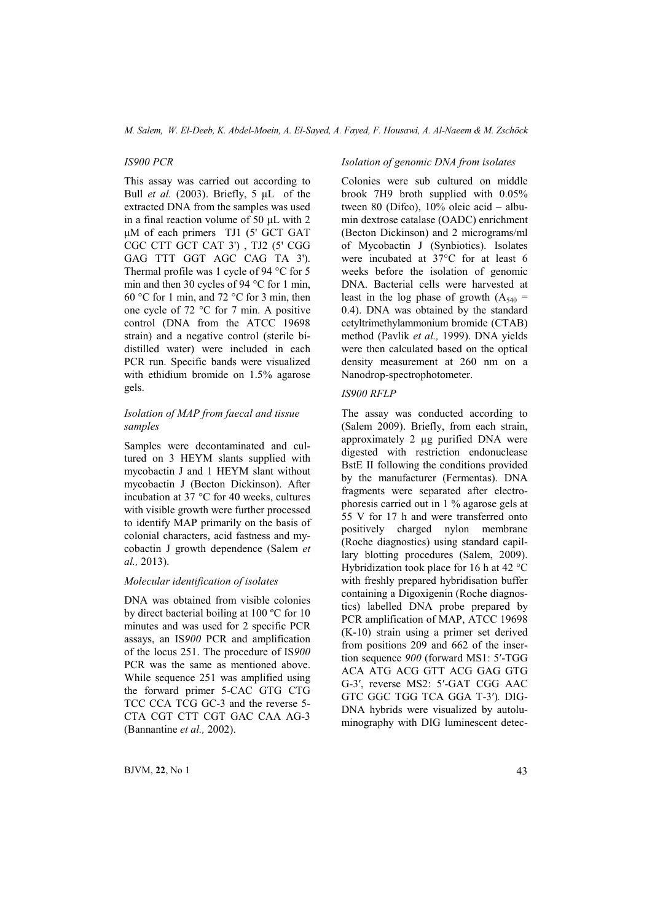#### *IS900 PCR*

This assay was carried out according to Bull *et al.* (2003). Briefly, 5 μL of the extracted DNA from the samples was used in a final reaction volume of 50 μL with 2 μM of each primers TJ1 (5' GCT GAT CGC CTT GCT CAT 3') , TJ2 (5' CGG GAG TTT GGT AGC CAG TA 3'). Thermal profile was 1 cycle of 94 °C for 5 min and then 30 cycles of 94 °C for 1 min, 60 °C for 1 min, and 72 °C for 3 min, then one cycle of 72 °C for 7 min. A positive control (DNA from the ATCC 19698 strain) and a negative control (sterile bidistilled water) were included in each PCR run. Specific bands were visualized with ethidium bromide on 1.5% agarose gels.

### *Isolation of MAP from faecal and tissue samples*

Samples were decontaminated and cultured on 3 HEYM slants supplied with mycobactin J and 1 HEYM slant without mycobactin J (Becton Dickinson). After incubation at 37 °C for 40 weeks, cultures with visible growth were further processed to identify MAP primarily on the basis of colonial characters, acid fastness and mycobactin J growth dependence (Salem *et al.,* 2013).

### *Molecular identification of isolates*

DNA was obtained from visible colonies by direct bacterial boiling at 100 ºC for 10 minutes and was used for 2 specific PCR assays, an IS*900* PCR and amplification of the locus 251. The procedure of IS*900*  PCR was the same as mentioned above. While sequence 251 was amplified using the forward primer 5-CAC GTG CTG TCC CCA TCG GC-3 and the reverse 5- CTA CGT CTT CGT GAC CAA AG-3 (Bannantine *et al.,* 2002).

#### *Isolation of genomic DNA from isolates*

Colonies were sub cultured on middle brook 7H9 broth supplied with 0.05% tween 80 (Difco), 10% oleic acid – albumin dextrose catalase (OADC) enrichment (Becton Dickinson) and 2 micrograms/ml of Mycobactin J (Synbiotics). Isolates were incubated at 37°C for at least 6 weeks before the isolation of genomic DNA. Bacterial cells were harvested at least in the log phase of growth  $(A_{540} =$ 0.4). DNA was obtained by the standard cetyltrimethylammonium bromide (CTAB) method (Pavlik *et al.,* 1999). DNA yields were then calculated based on the optical density measurement at 260 nm on a Nanodrop-spectrophotometer.

### *IS900 RFLP*

The assay was conducted according to (Salem 2009). Briefly, from each strain, approximately 2 µg purified DNA were digested with restriction endonuclease BstE II following the conditions provided by the manufacturer (Fermentas). DNA fragments were separated after electrophoresis carried out in 1 % agarose gels at 55 V for 17 h and were transferred onto positively charged nylon membrane (Roche diagnostics) using standard capillary blotting procedures (Salem, 2009). Hybridization took place for 16 h at 42 °C with freshly prepared hybridisation buffer containing a Digoxigenin (Roche diagnostics) labelled DNA probe prepared by PCR amplification of MAP, ATCC 19698 (K-10) strain using a primer set derived from positions 209 and 662 of the insertion sequence *900* (forward MS1: 5′-TGG ACA ATG ACG GTT ACG GAG GTG G-3′, reverse MS2: 5′-GAT CGG AAC GTC GGC TGG TCA GGA T-3′)*.* DIG-DNA hybrids were visualized by autoluminography with DIG luminescent detec-

 $BJVM, 22, No 1$  43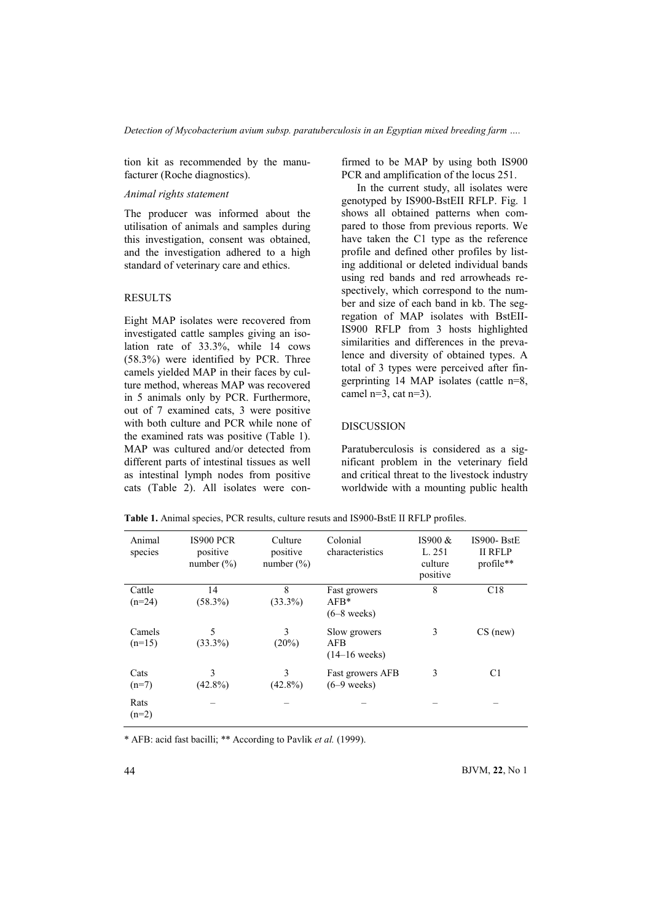tion kit as recommended by the manufacturer (Roche diagnostics).

### *Animal rights statement*

The producer was informed about the utilisation of animals and samples during this investigation, consent was obtained, and the investigation adhered to a high standard of veterinary care and ethics.

#### RESULTS

Eight MAP isolates were recovered from investigated cattle samples giving an isolation rate of 33.3%, while 14 cows (58.3%) were identified by PCR. Three camels yielded MAP in their faces by culture method, whereas MAP was recovered in 5 animals only by PCR. Furthermore, out of 7 examined cats, 3 were positive with both culture and PCR while none of the examined rats was positive (Table 1). MAP was cultured and/or detected from different parts of intestinal tissues as well as intestinal lymph nodes from positive cats (Table 2). All isolates were confirmed to be MAP by using both IS900 PCR and amplification of the locus 251.

In the current study, all isolates were genotyped by IS900-BstEII RFLP. Fig. 1 shows all obtained patterns when compared to those from previous reports. We have taken the C1 type as the reference profile and defined other profiles by listing additional or deleted individual bands using red bands and red arrowheads respectively, which correspond to the number and size of each band in kb. The segregation of MAP isolates with BstEII-IS900 RFLP from 3 hosts highlighted similarities and differences in the prevalence and diversity of obtained types. A total of 3 types were perceived after fingerprinting 14 MAP isolates (cattle n=8, camel  $n=3$ , cat  $n=3$ ).

#### DISCUSSION

Paratuberculosis is considered as a significant problem in the veterinary field and critical threat to the livestock industry worldwide with a mounting public health

| Animal<br>species | IS900 PCR<br>positive<br>number $(\% )$ | Culture<br>positive<br>number $(\% )$ | Colonial<br>characteristics | IS900 $&$<br>L. 251<br>culture<br>positive | IS900-BstE<br><b>II RFLP</b><br>profile** |
|-------------------|-----------------------------------------|---------------------------------------|-----------------------------|--------------------------------------------|-------------------------------------------|
| Cattle            | 14                                      | 8                                     | Fast growers                | 8                                          | C18                                       |
| $(n=24)$          | $(58.3\%)$                              | $(33.3\%)$                            | $AFB*$                      |                                            |                                           |
|                   |                                         |                                       | $(6-8$ weeks)               |                                            |                                           |
| Camels            | 5                                       | 3                                     | Slow growers                | 3                                          | $CS$ (new)                                |
| $(n=15)$          | $(33.3\%)$                              | $(20\%)$                              | AFB                         |                                            |                                           |
|                   |                                         |                                       | $(14-16$ weeks)             |                                            |                                           |
| Cats              | 3                                       | 3                                     | Fast growers AFB            | 3                                          | C <sub>1</sub>                            |
| $(n=7)$           | $(42.8\%)$                              | $(42.8\%)$                            | $(6-9$ weeks)               |                                            |                                           |
| Rats              |                                         |                                       |                             |                                            |                                           |
| $(n=2)$           |                                         |                                       |                             |                                            |                                           |
|                   |                                         |                                       |                             |                                            |                                           |

Table 1. Animal species, PCR results, culture resuts and IS900-BstE II RFLP profiles.

\* AFB: acid fast bacilli; \*\* According to Pavlik *et al.* (1999).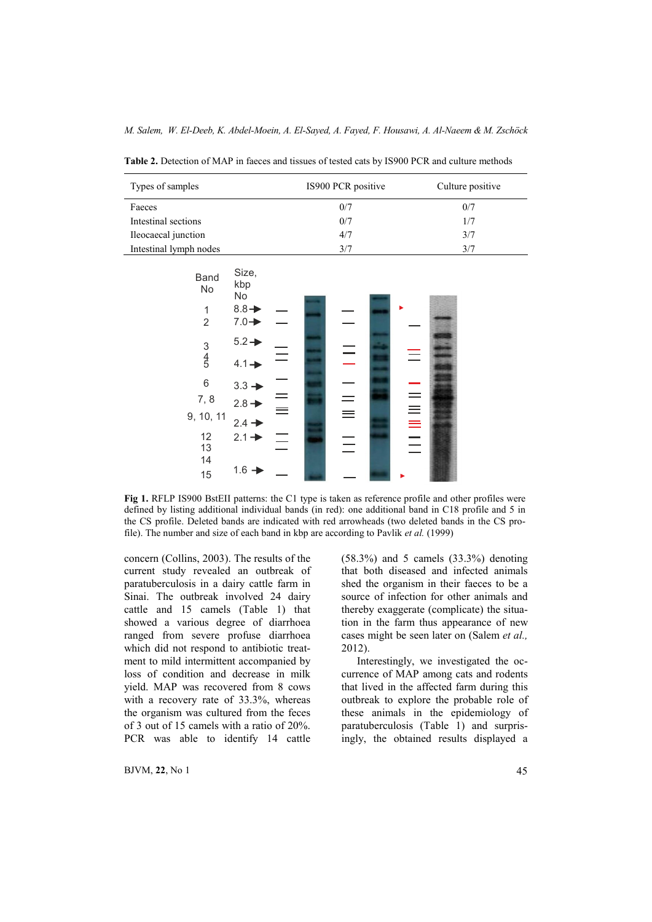| Types of samples            | IS900 PCR positive | Culture positive |  |
|-----------------------------|--------------------|------------------|--|
| Faeces                      | 0/7                | 0/7              |  |
| Intestinal sections         | 0/7                | 1/7              |  |
| Ileocaecal junction         | 4/7                | 3/7              |  |
| Intestinal lymph nodes      | 3/7                | 3/7              |  |
|                             |                    |                  |  |
| Size,<br>$P$ <sub>and</sub> |                    |                  |  |

Table 2. Detection of MAP in faeces and tissues of tested cats by IS900 PCR and culture methods



Fig 1. RFLP IS900 BstEII patterns: the C1 type is taken as reference profile and other profiles were defined by listing additional individual bands (in red): one additional band in C18 profile and 5 in the CS profile. Deleted bands are indicated with red arrowheads (two deleted bands in the CS profile). The number and size of each band in kbp are according to Pavlik *et al.* (1999)

concern (Collins, 2003). The results of the current study revealed an outbreak of paratuberculosis in a dairy cattle farm in Sinai. The outbreak involved 24 dairy cattle and 15 camels (Table 1) that showed a various degree of diarrhoea ranged from severe profuse diarrhoea which did not respond to antibiotic treatment to mild intermittent accompanied by loss of condition and decrease in milk yield. MAP was recovered from 8 cows with a recovery rate of 33.3%, whereas the organism was cultured from the feces of 3 out of 15 camels with a ratio of 20%. PCR was able to identify 14 cattle

 $BJVM$ , 22, No 1 45

(58.3%) and 5 camels (33.3%) denoting that both diseased and infected animals shed the organism in their faeces to be a source of infection for other animals and thereby exaggerate (complicate) the situation in the farm thus appearance of new cases might be seen later on (Salem *et al.,* 2012).

Interestingly, we investigated the occurrence of MAP among cats and rodents that lived in the affected farm during this outbreak to explore the probable role of these animals in the epidemiology of paratuberculosis (Table 1) and surprisingly, the obtained results displayed a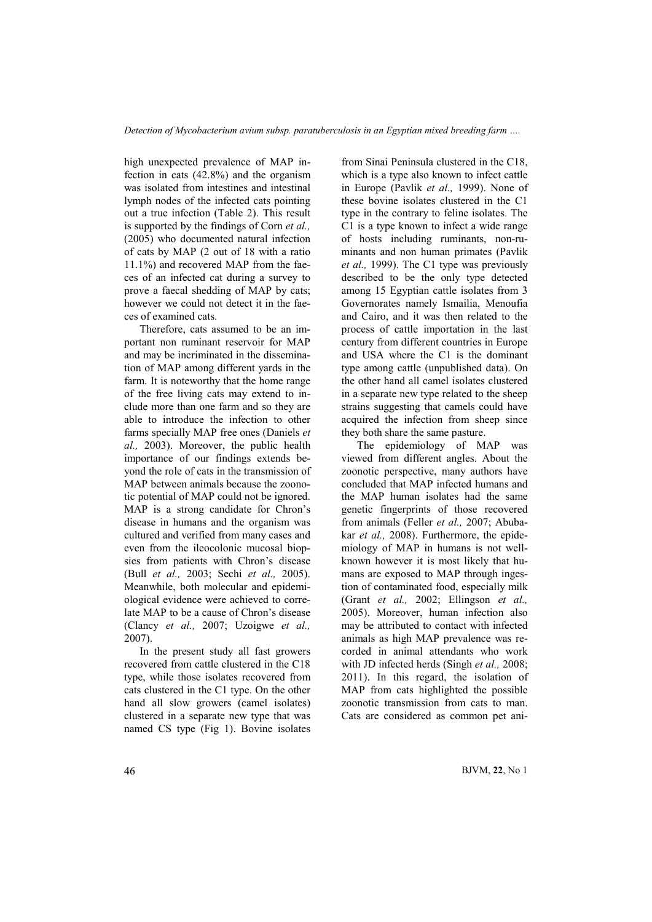high unexpected prevalence of MAP infection in cats (42.8%) and the organism was isolated from intestines and intestinal lymph nodes of the infected cats pointing out a true infection (Table 2). This result is supported by the findings of Corn *et al.,* (2005) who documented natural infection of cats by MAP (2 out of 18 with a ratio 11.1%) and recovered MAP from the faeces of an infected cat during a survey to prove a faecal shedding of MAP by cats; however we could not detect it in the faeces of examined cats.

Therefore, cats assumed to be an important non ruminant reservoir for MAP and may be incriminated in the dissemination of MAP among different yards in the farm. It is noteworthy that the home range of the free living cats may extend to include more than one farm and so they are able to introduce the infection to other farms specially MAP free ones (Daniels *et al.,* 2003). Moreover, the public health importance of our findings extends beyond the role of cats in the transmission of MAP between animals because the zoonotic potential of MAP could not be ignored. MAP is a strong candidate for Chron's disease in humans and the organism was cultured and verified from many cases and even from the ileocolonic mucosal biopsies from patients with Chron's disease (Bull *et al.,* 2003; Sechi *et al.,* 2005). Meanwhile, both molecular and epidemiological evidence were achieved to correlate MAP to be a cause of Chron's disease (Clancy *et al.,* 2007; Uzoigwe *et al.,*  2007).

In the present study all fast growers recovered from cattle clustered in the C18 type, while those isolates recovered from cats clustered in the C1 type. On the other hand all slow growers (camel isolates) clustered in a separate new type that was named CS type (Fig 1). Bovine isolates from Sinai Peninsula clustered in the C18, which is a type also known to infect cattle in Europe (Pavlik *et al.,* 1999). None of these bovine isolates clustered in the C1 type in the contrary to feline isolates. The C1 is a type known to infect a wide range of hosts including ruminants, non-ruminants and non human primates (Pavlik *et al.,* 1999). The C1 type was previously described to be the only type detected among 15 Egyptian cattle isolates from 3 Governorates namely Ismailia, Menoufia and Cairo, and it was then related to the process of cattle importation in the last century from different countries in Europe and USA where the C1 is the dominant type among cattle (unpublished data). On the other hand all camel isolates clustered in a separate new type related to the sheep strains suggesting that camels could have acquired the infection from sheep since they both share the same pasture.

The epidemiology of MAP was viewed from different angles. About the zoonotic perspective, many authors have concluded that MAP infected humans and the MAP human isolates had the same genetic fingerprints of those recovered from animals (Feller *et al.,* 2007; Abubakar *et al.,* 2008). Furthermore, the epidemiology of MAP in humans is not wellknown however it is most likely that humans are exposed to MAP through ingestion of contaminated food, especially milk (Grant *et al.,* 2002; Ellingson *et al.,* 2005). Moreover, human infection also may be attributed to contact with infected animals as high MAP prevalence was recorded in animal attendants who work with JD infected herds (Singh *et al.,* 2008; 2011). In this regard, the isolation of MAP from cats highlighted the possible zoonotic transmission from cats to man. Cats are considered as common pet ani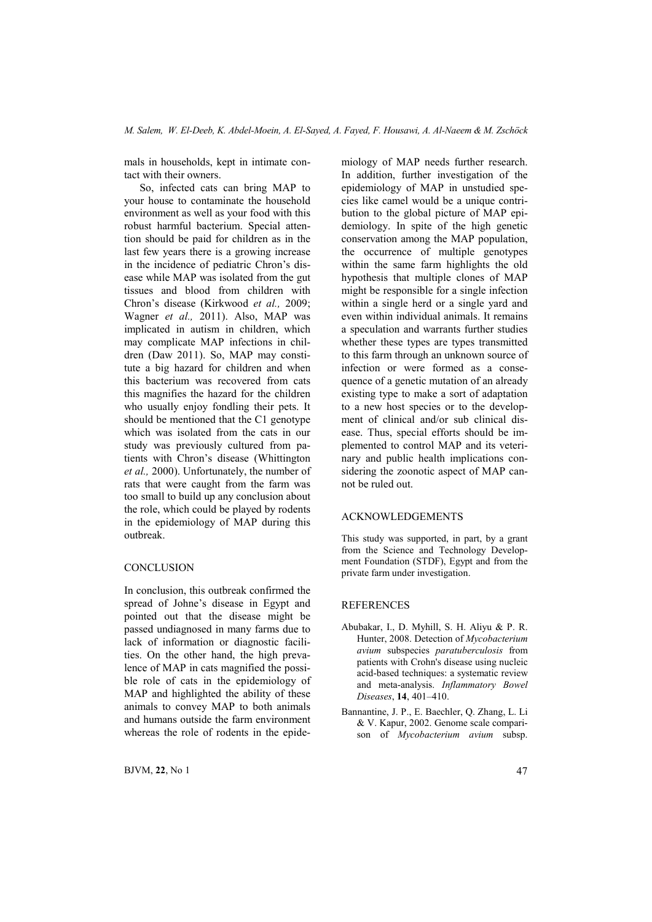mals in households, kept in intimate contact with their owners.

So, infected cats can bring MAP to your house to contaminate the household environment as well as your food with this robust harmful bacterium. Special attention should be paid for children as in the last few years there is a growing increase in the incidence of pediatric Chron's disease while MAP was isolated from the gut tissues and blood from children with Chron's disease (Kirkwood *et al.,* 2009; Wagner *et al.,* 2011). Also, MAP was implicated in autism in children, which may complicate MAP infections in children (Daw 2011). So, MAP may constitute a big hazard for children and when this bacterium was recovered from cats this magnifies the hazard for the children who usually enjoy fondling their pets. It should be mentioned that the C1 genotype which was isolated from the cats in our study was previously cultured from patients with Chron's disease (Whittington *et al.,* 2000). Unfortunately, the number of rats that were caught from the farm was too small to build up any conclusion about the role, which could be played by rodents in the epidemiology of MAP during this outbreak.

### **CONCLUSION**

In conclusion, this outbreak confirmed the spread of Johne's disease in Egypt and pointed out that the disease might be passed undiagnosed in many farms due to lack of information or diagnostic facilities. On the other hand, the high prevalence of MAP in cats magnified the possible role of cats in the epidemiology of MAP and highlighted the ability of these animals to convey MAP to both animals and humans outside the farm environment whereas the role of rodents in the epide-

 $BJVM$ , 22, No 1 47

miology of MAP needs further research. In addition, further investigation of the epidemiology of MAP in unstudied species like camel would be a unique contribution to the global picture of MAP epidemiology. In spite of the high genetic conservation among the MAP population, the occurrence of multiple genotypes within the same farm highlights the old hypothesis that multiple clones of MAP might be responsible for a single infection within a single herd or a single yard and even within individual animals. It remains a speculation and warrants further studies whether these types are types transmitted to this farm through an unknown source of infection or were formed as a consequence of a genetic mutation of an already existing type to make a sort of adaptation to a new host species or to the development of clinical and/or sub clinical disease. Thus, special efforts should be implemented to control MAP and its veterinary and public health implications considering the zoonotic aspect of MAP cannot be ruled out.

### ACKNOWLEDGEMENTS

This study was supported, in part, by a grant from the Science and Technology Development Foundation (STDF), Egypt and from the private farm under investigation.

#### REFERENCES

- Abubakar, I., D. Myhill, S. H. Aliyu & P. R. Hunter, 2008. Detection of *Mycobacterium avium* subspecies *paratuberculosis* from patients with Crohn's disease using nucleic acid-based techniques: a systematic review and meta-analysis. *Inflammatory Bowel Diseases*, 14, 401–410.
- Bannantine, J. P., E. Baechler, Q. Zhang, L. Li & V. Kapur, 2002. Genome scale comparison of *Mycobacterium avium* subsp.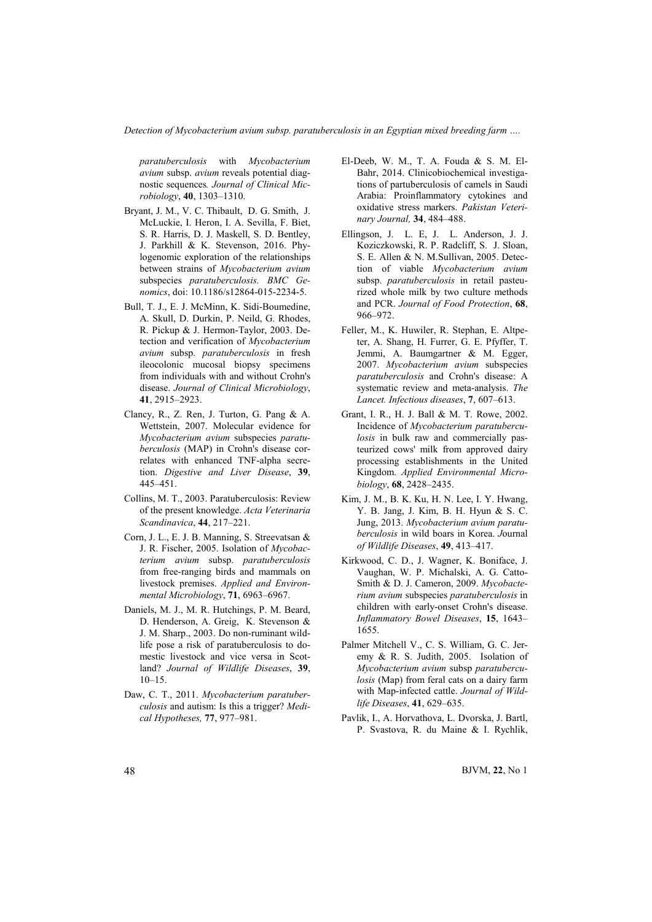*Detection of Mycobacterium avium subsp. paratuberculosis in an Egyptian mixed breeding farm ….*

*paratuberculosis* with *Mycobacterium avium* subsp. *avium* reveals potential diagnostic sequences*. Journal of Clinical Microbiology*, 40, 1303–1310.

- Bryant, J. M., V. C. [Thibault, D. G](http://www.ncbi.nlm.nih.gov/pubmed/?term=Thibault%20VC%5BAuthor%5D&cauthor=true&cauthor_uid=26813574). [Smith, J.](http://www.ncbi.nlm.nih.gov/pubmed/?term=Smith%20DG%5BAuthor%5D&cauthor=true&cauthor_uid=26813574)  [McLuckie, I.](http://www.ncbi.nlm.nih.gov/pubmed/?term=McLuckie%20J%5BAuthor%5D&cauthor=true&cauthor_uid=26813574) [Heron, I.](http://www.ncbi.nlm.nih.gov/pubmed/?term=Heron%20I%5BAuthor%5D&cauthor=true&cauthor_uid=26813574) A. [Sevilla, F.](http://www.ncbi.nlm.nih.gov/pubmed/?term=Sevilla%20IA%5BAuthor%5D&cauthor=true&cauthor_uid=26813574) [Biet,](http://www.ncbi.nlm.nih.gov/pubmed/?term=Biet%20F%5BAuthor%5D&cauthor=true&cauthor_uid=26813574)  S. R. [Harris, D](http://www.ncbi.nlm.nih.gov/pubmed/?term=Harris%20SR%5BAuthor%5D&cauthor=true&cauthor_uid=26813574). J. [Maskell, S.](http://www.ncbi.nlm.nih.gov/pubmed/?term=Maskell%20DJ%5BAuthor%5D&cauthor=true&cauthor_uid=26813574) D. [Bentley,](http://www.ncbi.nlm.nih.gov/pubmed/?term=Bentley%20SD%5BAuthor%5D&cauthor=true&cauthor_uid=26813574)  J. [Parkhill &](http://www.ncbi.nlm.nih.gov/pubmed/?term=Parkhill%20J%5BAuthor%5D&cauthor=true&cauthor_uid=26813574) K. [Stevenson, 201](http://www.ncbi.nlm.nih.gov/pubmed/?term=Stevenson%20K%5BAuthor%5D&cauthor=true&cauthor_uid=26813574)6. Phylogenomic exploration of the relationships between strains of *Mycobacterium avium* subspecies *paratuberculosis. [BMC Ge](http://www.ncbi.nlm.nih.gov/pubmed/26813574)nomics*, doi: [10.1186/s12864-015-2234-5.](http://dx.doi.org/10.1186%2Fs12864-015-2234-5)
- Bul[l, T. J., E. J](http://www.ncbi.nlm.nih.gov/pubmed/26813574). McMinn, K. Sidi-Boumedine, A. Skull, D. Durkin, P. Neild, G. Rhodes, R. Pickup & J. Hermon-Taylor, 2003. Detection and verification of *Mycobacterium avium* subsp. *paratuberculosis* in fresh ileocolonic mucosal biopsy specimens from individuals with and without Crohn's disease. *Journal of Clinical Microbiology*, 41, 2915–2923.
- Clancy, R., Z. Ren, J. Turton, G. Pang & A. Wettstein, 2007. Molecular evidence for *Mycobacterium avium* subspecies *paratuberculosis* (MAP) in Crohn's disease correlates with enhanced TNF-alpha secretion. *Digestive and Liver Disease*, 39, 445–451.
- Collins, M. T., 2003. Paratuberculosis: Review of the present knowledge. *Acta Veterinaria Scandinavica*, 44, 217–221.
- Corn, J. L., E. J. B. Manning, S. Streevatsan & J. R. Fischer, 2005. Isolation of *Mycobacterium avium* subsp. *paratuberculosis* from free-ranging birds and mammals on livestock premises. *Applied and Environmental Microbiology*, 71, 6963–6967.
- Daniels, M. J., M. R. Hutchings, P. M. Beard, D. Henderson, A. Greig, K. Stevenson & J. M. Sharp., 2003. Do non-ruminant wildlife pose a risk of paratuberculosis to domestic livestock and vice versa in Scotland? *Journal of Wildlife Diseases*, 39,  $10-15$
- Daw, C. T., 2011. *Mycobacterium paratuberculosis* and autism: Is this a trigger? *Medical Hypotheses,* 77, 977–981.
- El-Deeb, W. M., T. A. Fouda & S. M. El-Bahr, 2014. Clinicobiochemical investigations of partuberculosis of camels in Saudi Arabia: Proinflammatory cytokines and oxidative stress markers. *Pakistan Veterinary Journal,* 34, 484–488.
- Ellingson, J. L. E, J. L. Anderson, J. J. Koziczkowski, R. P. Radcliff, S. J. Sloan, S. E. Allen & N. M.Sullivan, 2005. Detection of viable *Mycobacterium avium* subsp. *paratuberculosis* in retail pasteurized whole milk by two culture methods and PCR. *Journal of Food Protection*, 68, 966–972.
- Feller, M., K. Huwiler, R. Stephan, E. Altpeter, A. Shang, H. Furrer, G. E. Pfyffer, T. Jemmi, A. Baumgartner & M. Egger, 2007. *Mycobacterium avium* subspecies *paratuberculosis* and Crohn's disease: A systematic review and meta-analysis. *The Lancet. Infectious diseases*, 7, 607–613.
- Grant, I. R., H. J. Ball & M. T. Rowe, 2002. Incidence of *Mycobacterium paratuberculosis* in bulk raw and commercially pasteurized cows' milk from approved dairy processing establishments in the United Kingdom. *Applied Environmental Microbiology*, 68, 2428–2435.
- Kim, J. M., B. K. Ku, H. N. Lee, I. Y. Hwang, Y. B. Jang, J. Kim, B. H. Hyun & S. C. Jung, 2013. *Mycobacterium avium paratuberculosis* in wild boars in Korea. *J*ournal *of Wildlife Diseases*, 49, 413–417.
- Kirkwood, C. D., J. Wagner, K. Boniface, J. Vaughan, W. P. Michalski, A. G. Catto-Smith & D. J. Cameron, 2009. *Mycobacterium avium* subspecies *paratuberculosis* in children with early-onset Crohn's disease. *Inflammatory Bowel Diseases*, 15, 1643– 1655.
- Palmer Mitchell V., C. S. William, G. C. Jeremy & R. S. Judith, 2005. Isolation of *Mycobacterium avium* subsp *paratuberculosis* (Map) from feral cats on a dairy farm with Map-infected cattle. *Journal of Wildlife Diseases*, 41, 629–635.
- Pavlik, I., A. Horvathova, L. Dvorska, J. Bartl, P. Svastova, R. du Maine & I. Rychlik,